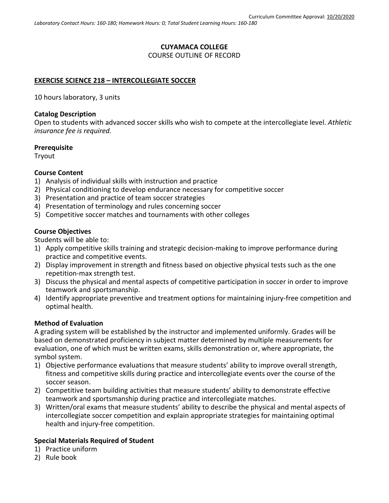# **CUYAMACA COLLEGE** COURSE OUTLINE OF RECORD

## **EXERCISE SCIENCE 218 – INTERCOLLEGIATE SOCCER**

10 hours laboratory, 3 units

#### **Catalog Description**

Open to students with advanced soccer skills who wish to compete at the intercollegiate level. *Athletic insurance fee is required.*

#### **Prerequisite**

Tryout

## **Course Content**

- 1) Analysis of individual skills with instruction and practice
- 2) Physical conditioning to develop endurance necessary for competitive soccer
- 3) Presentation and practice of team soccer strategies
- 4) Presentation of terminology and rules concerning soccer
- 5) Competitive soccer matches and tournaments with other colleges

## **Course Objectives**

Students will be able to:

- 1) Apply competitive skills training and strategic decision-making to improve performance during practice and competitive events.
- 2) Display improvement in strength and fitness based on objective physical tests such as the one repetition-max strength test.
- 3) Discuss the physical and mental aspects of competitive participation in soccer in order to improve teamwork and sportsmanship.
- 4) Identify appropriate preventive and treatment options for maintaining injury-free competition and optimal health.

## **Method of Evaluation**

A grading system will be established by the instructor and implemented uniformly. Grades will be based on demonstrated proficiency in subject matter determined by multiple measurements for evaluation, one of which must be written exams, skills demonstration or, where appropriate, the symbol system.

- 1) Objective performance evaluations that measure students' ability to improve overall strength, fitness and competitive skills during practice and intercollegiate events over the course of the soccer season.
- 2) Competitive team building activities that measure students' ability to demonstrate effective teamwork and sportsmanship during practice and intercollegiate matches.
- 3) Written/oral exams that measure students' ability to describe the physical and mental aspects of intercollegiate soccer competition and explain appropriate strategies for maintaining optimal health and injury-free competition.

## **Special Materials Required of Student**

- 1) Practice uniform
- 2) Rule book